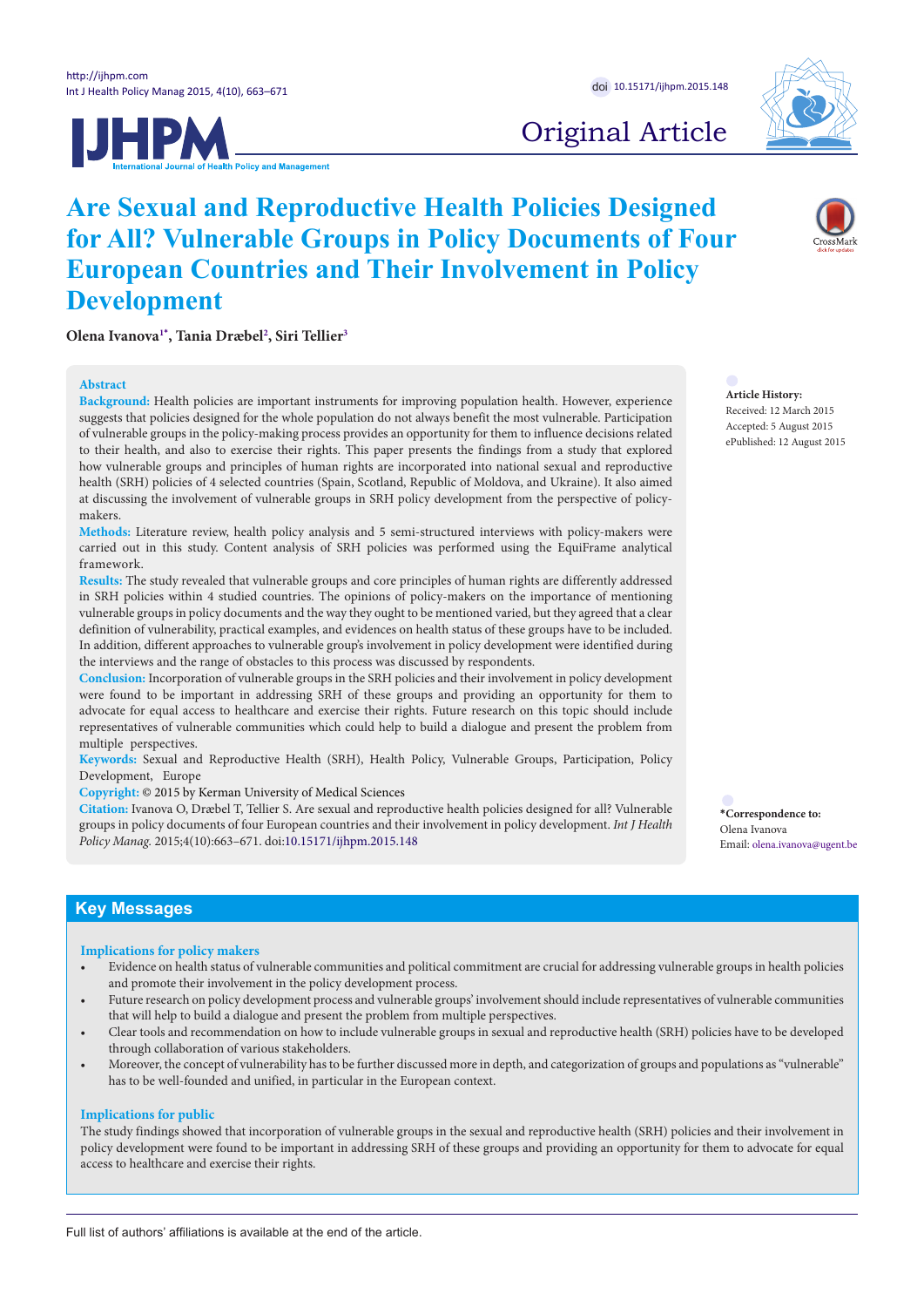



# Original Article

# **Are Sexual and Reproductive Health Policies Designed for All? Vulnerable Groups in Policy Documents of Four European Countries and Their Involvement in Policy Development**

**Olena Ivanova[1](#page-8-0)[\\*](#page-0-0) , Tania Dræbel[2](#page-8-1) , Siri Tellie[r3](#page-8-2)**

#### **Abstract**

**Background:** Health policies are important instruments for improving population health. However, experience suggests that policies designed for the whole population do not always benefit the most vulnerable. Participation of vulnerable groups in the policy-making process provides an opportunity for them to influence decisions related to their health, and also to exercise their rights. This paper presents the findings from a study that explored how vulnerable groups and principles of human rights are incorporated into national sexual and reproductive health (SRH) policies of 4 selected countries (Spain, Scotland, Republic of Moldova, and Ukraine). It also aimed at discussing the involvement of vulnerable groups in SRH policy development from the perspective of policymakers.

**Methods:** Literature review, health policy analysis and 5 semi-structured interviews with policy-makers were carried out in this study. Content analysis of SRH policies was performed using the EquiFrame analytical framework.

**Results:** The study revealed that vulnerable groups and core principles of human rights are differently addressed in SRH policies within 4 studied countries. The opinions of policy-makers on the importance of mentioning vulnerable groups in policy documents and the way they ought to be mentioned varied, but they agreed that a clear definition of vulnerability, practical examples, and evidences on health status of these groups have to be included. In addition, different approaches to vulnerable group's involvement in policy development were identified during the interviews and the range of obstacles to this process was discussed by respondents.

**Conclusion:** Incorporation of vulnerable groups in the SRH policies and their involvement in policy development were found to be important in addressing SRH of these groups and providing an opportunity for them to advocate for equal access to healthcare and exercise their rights. Future research on this topic should include representatives of vulnerable communities which could help to build a dialogue and present the problem from multiple perspectives.

**Keywords:** Sexual and Reproductive Health (SRH), Health Policy, Vulnerable Groups, Participation, Policy Development, Europe

**Copyright:** © 2015 by Kerman University of Medical Sciences

**Citation:** Ivanova O, Dræbel T, Tellier S. Are sexual and reproductive health policies designed for all? Vulnerable groups in policy documents of four European countries and their involvement in policy development. *Int J Health Policy Manag.* 2015;4(10):663–671. doi:[10.15171/ijhpm.2015.148](http://dx.doi.org/10.15171/ijhpm.2015.148)

**Article History:** Received: 12 March 2015 Accepted: 5 August 2015 ePublished: 12 August 2015

<span id="page-0-0"></span>**\*Correspondence to:** Olena Ivanova Email: olena.ivanova@ugent.be

# **Key Messages**

#### **Implications for policy makers**

- Evidence on health status of vulnerable communities and political commitment are crucial for addressing vulnerable groups in health policies and promote their involvement in the policy development process.
- Future research on policy development process and vulnerable groups' involvement should include representatives of vulnerable communities that will help to build a dialogue and present the problem from multiple perspectives.
- Clear tools and recommendation on how to include vulnerable groups in sexual and reproductive health (SRH) policies have to be developed through collaboration of various stakeholders.
- Moreover, the concept of vulnerability has to be further discussed more in depth, and categorization of groups and populations as "vulnerable" has to be well-founded and unified, in particular in the European context.

#### **Implications for public**

The study findings showed that incorporation of vulnerable groups in the sexual and reproductive health (SRH) policies and their involvement in policy development were found to be important in addressing SRH of these groups and providing an opportunity for them to advocate for equal access to healthcare and exercise their rights.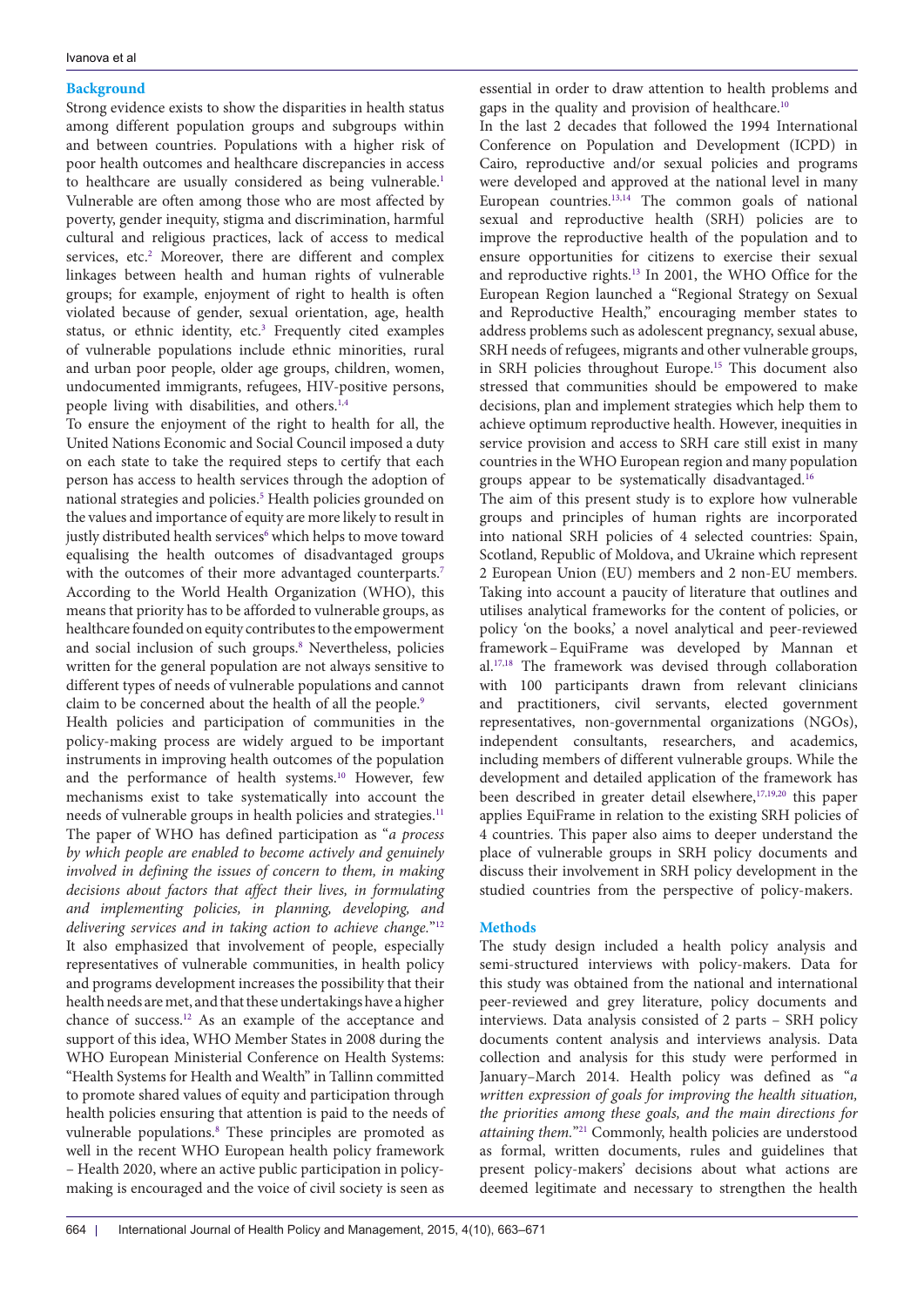# **Background**

Strong evidence exists to show the disparities in health status among different population groups and subgroups within and between countries. Populations with a higher risk of poor health outcomes and healthcare discrepancies in access to healthcare are usually considered as being vulnerable.<sup>[1](#page-8-0)</sup> Vulnerable are often among those who are most affected by poverty, gender inequity, stigma and discrimination, harmful cultural and religious practices, lack of access to medical services, etc.<sup>2</sup> Moreover, there are different and complex linkages between health and human rights of vulnerable groups; for example, enjoyment of right to health is often violated because of gender, sexual orientation, age, health status, or ethnic identity, etc.<sup>3</sup> Frequently cited examples of vulnerable populations include ethnic minorities, rural and urban poor people, older age groups, children, women, undocumented immigrants, refugees, HIV-positive persons, people living with disabilities, and others.<sup>[1](#page-8-0),[4](#page-8-3)</sup>

To ensure the enjoyment of the right to health for all, the United Nations Economic and Social Council imposed a duty on each state to take the required steps to certify that each person has access to health services through the adoption of national strategies and policies.<sup>5</sup> Health policies grounded on the values and importance of equity are more likely to result in justly distributed health services<sup>6</sup> which helps to move toward equalising the health outcomes of disadvantaged groups with the outcomes of their more advantaged counterparts.<sup>[7](#page-8-6)</sup> According to the World Health Organization (WHO), this means that priority has to be afforded to vulnerable groups, as healthcare founded on equity contributes to the empowerment and social inclusion of such groups.<sup>8</sup> Nevertheless, policies written for the general population are not always sensitive to different types of needs of vulnerable populations and cannot claim to be concerned about the health of all the people.<sup>[9](#page-8-8)</sup>

Health policies and participation of communities in the policy-making process are widely argued to be important instruments in improving health outcomes of the population and the performance of health systems. [10](#page-8-9) However, few mechanisms exist to take systematically into account the needs of vulnerable groups in health policies and strategies.<sup>[11](#page-8-10)</sup> The paper of WHO has defined participation as "*a process by which people are enabled to become actively and genuinely involved in defining the issues of concern to them, in making decisions about factors that affect their lives, in formulating and implementing policies, in planning, developing, and delivering services and in taking action to achieve change.*"[12](#page-8-11) It also emphasized that involvement of people, especially representatives of vulnerable communities, in health policy and programs development increases the possibility that their health needs are met, and that these undertakings have a higher chance of success.[12](#page-8-11) As an example of the acceptance and support of this idea, WHO Member States in 2008 during the WHO European Ministerial Conference on Health Systems: "Health Systems for Health and Wealth" in Tallinn committed to promote shared values of equity and participation through health policies ensuring that attention is paid to the needs of vulnerable populations.<sup>[8](#page-8-7)</sup> These principles are promoted as well in the recent WHO European health policy framework – Health 2020, where an active public participation in policymaking is encouraged and the voice of civil society is seen as essential in order to draw attention to health problems and gaps in the quality and provision of healthcare.[10](#page-8-9)

In the last 2 decades that followed the 1994 International Conference on Population and Development (ICPD) in Cairo, reproductive and/or sexual policies and programs were developed and approved at the national level in many European countries. $13,14$  $13,14$  The common goals of national sexual and reproductive health (SRH) policies are to improve the reproductive health of the population and to ensure opportunities for citizens to exercise their sexual and reproductive rights.<sup>13</sup> In 2001, the WHO Office for the European Region launched a "Regional Strategy on Sexual and Reproductive Health," encouraging member states to address problems such as adolescent pregnancy, sexual abuse, SRH needs of refugees, migrants and other vulnerable groups, in SRH policies throughout Europe.[15](#page-8-14) This document also stressed that communities should be empowered to make decisions, plan and implement strategies which help them to achieve optimum reproductive health. However, inequities in service provision and access to SRH care still exist in many countries in the WHO European region and many population groups appear to be systematically disadvantaged.[16](#page-8-15)

The aim of this present study is to explore how vulnerable groups and principles of human rights are incorporated into national SRH policies of 4 selected countries: Spain, Scotland, Republic of Moldova, and Ukraine which represent 2 European Union (EU) members and 2 non-EU members. Taking into account a paucity of literature that outlines and utilises analytical frameworks for the content of policies, or policy 'on the books,' a novel analytical and peer-reviewed framework–EquiFrame was developed by Mannan et al[.17,](#page-8-16)[18](#page-8-17) The framework was devised through collaboration with 100 participants drawn from relevant clinicians and practitioners, civil servants, elected government representatives, non-governmental organizations (NGOs), independent consultants, researchers, and academics, including members of different vulnerable groups. While the development and detailed application of the framework has been described in greater detail elsewhere,<sup>17[,19](#page-8-18),20</sup> this paper applies EquiFrame in relation to the existing SRH policies of 4 countries. This paper also aims to deeper understand the place of vulnerable groups in SRH policy documents and discuss their involvement in SRH policy development in the studied countries from the perspective of policy-makers.

# **Methods**

The study design included a health policy analysis and semi-structured interviews with policy-makers. Data for this study was obtained from the national and international peer-reviewed and grey literature, policy documents and interviews. Data analysis consisted of 2 parts – SRH policy documents content analysis and interviews analysis. Data collection and analysis for this study were performed in January–March 2014. Health policy was defined as "*a written expression of goals for improving the health situation, the priorities among these goals, and the main directions for attaining them.*["21](#page-8-20) Commonly, health policies are understood as formal, written documents, rules and guidelines that present policy-makers' decisions about what actions are deemed legitimate and necessary to strengthen the health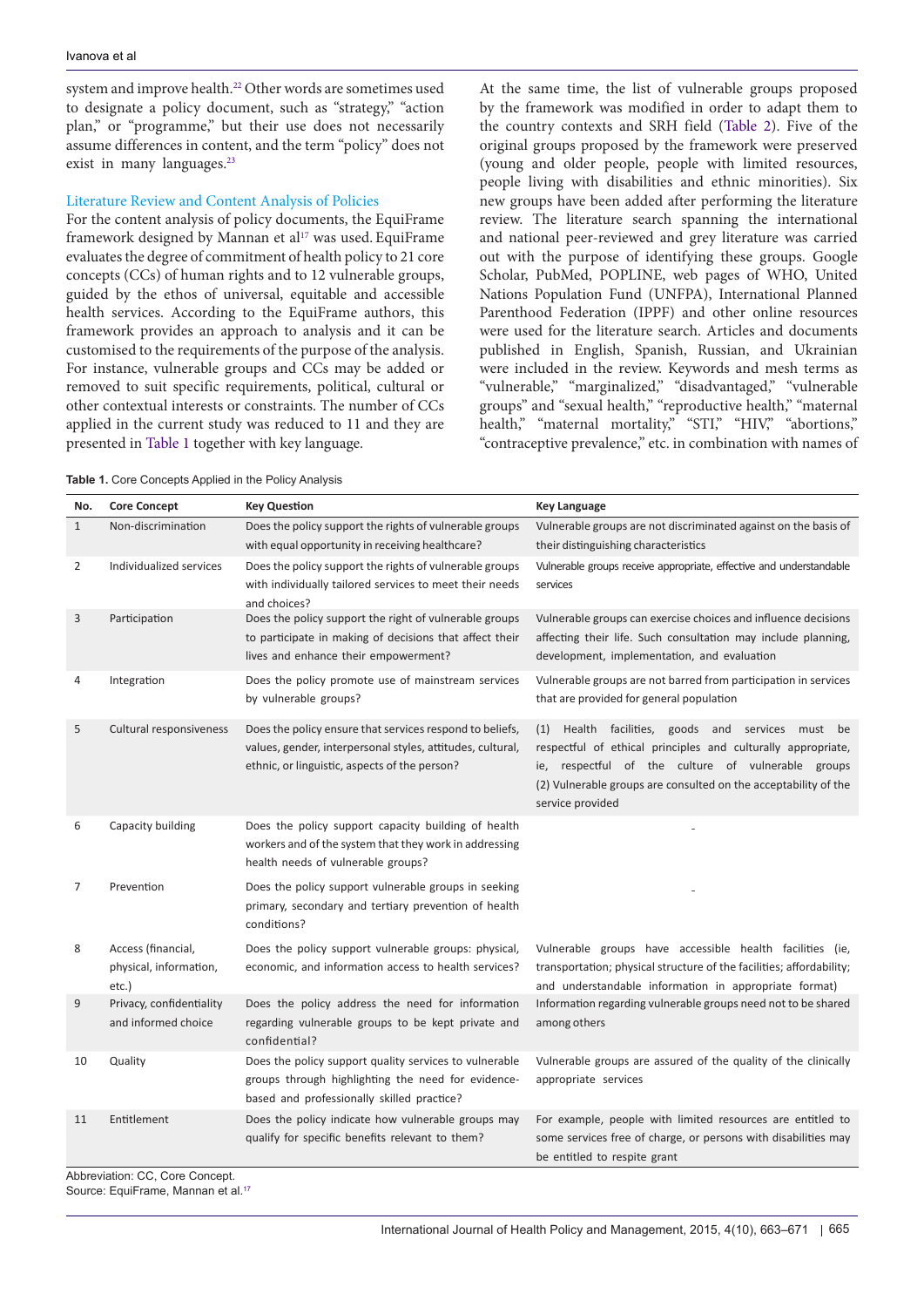system and improve health.<sup>22</sup> Other words are sometimes used to designate a policy document, such as "strategy," "action plan," or "programme," but their use does not necessarily assume differences in content, and the term "policy" does not exist in many languages.<sup>23</sup>

### Literature Review and Content Analysis of Policies

For the content analysis of policy documents, the EquiFrame framework designed by Mannan et al<sup>[17](#page-8-16)</sup> was used. EquiFrame evaluates the degree of commitment of health policy to 21 core concepts (CCs) of human rights and to 12 vulnerable groups, guided by the ethos of universal, equitable and accessible health services. According to the EquiFrame authors, this framework provides an approach to analysis and it can be customised to the requirements of the purpose of the analysis. For instance, vulnerable groups and CCs may be added or removed to suit specific requirements, political, cultural or other contextual interests or constraints. The number of CCs applied in the current study was reduced to 11 and they are presented in [Table 1](#page-2-0) together with key language.

At the same time, the list of vulnerable groups proposed by the framework was modified in order to adapt them to the country contexts and SRH field ([Table 2\)](#page-3-0). Five of the original groups proposed by the framework were preserved (young and older people, people with limited resources, people living with disabilities and ethnic minorities). Six new groups have been added after performing the literature review. The literature search spanning the international and national peer-reviewed and grey literature was carried out with the purpose of identifying these groups. Google Scholar, PubMed, POPLINE, web pages of WHO, United Nations Population Fund (UNFPA), International Planned Parenthood Federation (IPPF) and other online resources were used for the literature search. Articles and documents published in English, Spanish, Russian, and Ukrainian were included in the review. Keywords and mesh terms as "vulnerable," "marginalized," "disadvantaged," "vulnerable groups" and "sexual health," "reproductive health," "maternal health," "maternal mortality," "STI," "HIV," "abortions," "contraceptive prevalence," etc. in combination with names of

| No.          | <b>Core Concept</b>                                   | <b>Key Question</b>                                                                                                                                                     | <b>Key Language</b>                                                                                                                                                                                                                                               |
|--------------|-------------------------------------------------------|-------------------------------------------------------------------------------------------------------------------------------------------------------------------------|-------------------------------------------------------------------------------------------------------------------------------------------------------------------------------------------------------------------------------------------------------------------|
| $\mathbf{1}$ | Non-discrimination                                    | Does the policy support the rights of vulnerable groups<br>with equal opportunity in receiving healthcare?                                                              | Vulnerable groups are not discriminated against on the basis of<br>their distinguishing characteristics                                                                                                                                                           |
| 2            | Individualized services                               | Does the policy support the rights of vulnerable groups<br>with individually tailored services to meet their needs<br>and choices?                                      | Vulnerable groups receive appropriate, effective and understandable<br>services                                                                                                                                                                                   |
| 3            | Participation                                         | Does the policy support the right of vulnerable groups<br>to participate in making of decisions that affect their<br>lives and enhance their empowerment?               | Vulnerable groups can exercise choices and influence decisions<br>affecting their life. Such consultation may include planning,<br>development, implementation, and evaluation                                                                                    |
| 4            | Integration                                           | Does the policy promote use of mainstream services<br>by vulnerable groups?                                                                                             | Vulnerable groups are not barred from participation in services<br>that are provided for general population                                                                                                                                                       |
| 5            | Cultural responsiveness                               | Does the policy ensure that services respond to beliefs,<br>values, gender, interpersonal styles, attitudes, cultural,<br>ethnic, or linguistic, aspects of the person? | Health facilities, goods and services must be<br>(1)<br>respectful of ethical principles and culturally appropriate,<br>ie, respectful of the culture of vulnerable groups<br>(2) Vulnerable groups are consulted on the acceptability of the<br>service provided |
| 6            | Capacity building                                     | Does the policy support capacity building of health<br>workers and of the system that they work in addressing<br>health needs of vulnerable groups?                     |                                                                                                                                                                                                                                                                   |
| 7            | Prevention                                            | Does the policy support vulnerable groups in seeking<br>primary, secondary and tertiary prevention of health<br>conditions?                                             |                                                                                                                                                                                                                                                                   |
| 8            | Access (financial,<br>physical, information,<br>etc.) | Does the policy support vulnerable groups: physical,<br>economic, and information access to health services?                                                            | Vulnerable groups have accessible health facilities (ie,<br>transportation; physical structure of the facilities; affordability;<br>and understandable information in appropriate format)                                                                         |
| 9            | Privacy, confidentiality<br>and informed choice       | Does the policy address the need for information<br>regarding vulnerable groups to be kept private and<br>confidential?                                                 | Information regarding vulnerable groups need not to be shared<br>among others                                                                                                                                                                                     |
| 10           | Quality                                               | Does the policy support quality services to vulnerable<br>groups through highlighting the need for evidence-<br>based and professionally skilled practice?              | Vulnerable groups are assured of the quality of the clinically<br>appropriate services                                                                                                                                                                            |
| 11           | Entitlement                                           | Does the policy indicate how vulnerable groups may<br>qualify for specific benefits relevant to them?                                                                   | For example, people with limited resources are entitled to<br>some services free of charge, or persons with disabilities may<br>be entitled to respite grant                                                                                                      |

<span id="page-2-0"></span>**Table 1.** Core Concepts Applied in the Policy Analysis

Abbreviation: CC, Core Concept. Source: EquiFrame, Mannan et al.<sup>[17](#page-8-16)</sup>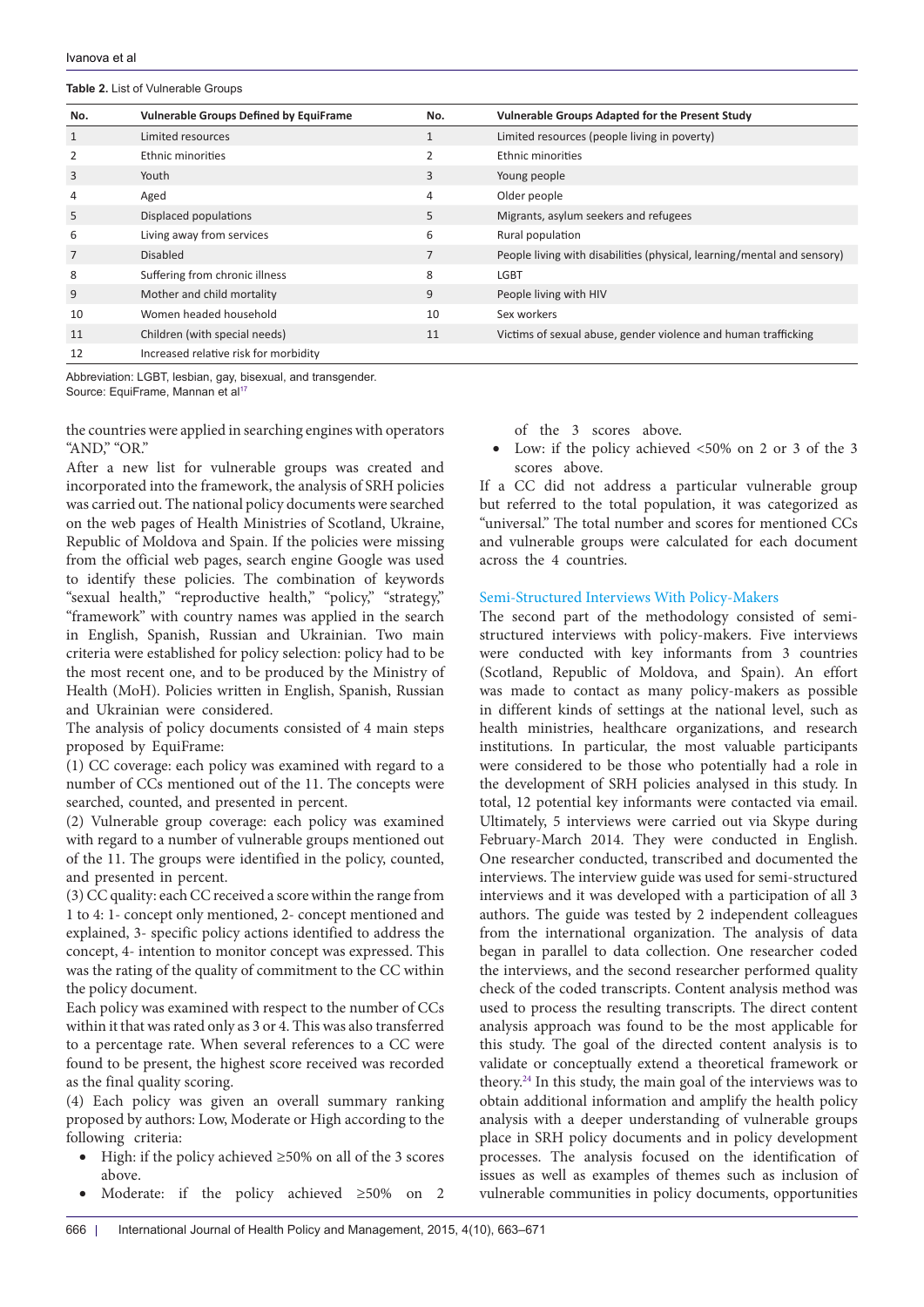#### <span id="page-3-0"></span>**Table 2.** List of Vulnerable Groups

| No.            | <b>Vulnerable Groups Defined by EquiFrame</b> | No.            | Vulnerable Groups Adapted for the Present Study                         |
|----------------|-----------------------------------------------|----------------|-------------------------------------------------------------------------|
| $\mathbf{1}$   | Limited resources                             | 1              | Limited resources (people living in poverty)                            |
| 2              | Ethnic minorities                             | 2              | Ethnic minorities                                                       |
| 3              | Youth                                         | 3              | Young people                                                            |
| 4              | Aged                                          | $\overline{4}$ | Older people                                                            |
| 5              | Displaced populations                         | 5              | Migrants, asylum seekers and refugees                                   |
| 6              | Living away from services                     | 6              | Rural population                                                        |
| $\overline{7}$ | <b>Disabled</b>                               | $\overline{7}$ | People living with disabilities (physical, learning/mental and sensory) |
| 8              | Suffering from chronic illness                | 8              | <b>LGBT</b>                                                             |
| 9              | Mother and child mortality                    | 9              | People living with HIV                                                  |
| 10             | Women headed household                        | 10             | Sex workers                                                             |
| 11             | Children (with special needs)                 | 11             | Victims of sexual abuse, gender violence and human trafficking          |
| 12             | Increased relative risk for morbidity         |                |                                                                         |

Abbreviation: LGBT, lesbian, gay, bisexual, and transgender. Source: EquiFrame, Mannan et al<sup>[17](#page-8-16)</sup>

the countries were applied in searching engines with operators "AND," "OR."

After a new list for vulnerable groups was created and incorporated into the framework, the analysis of SRH policies was carried out. The national policy documents were searched on the web pages of Health Ministries of Scotland, Ukraine, Republic of Moldova and Spain. If the policies were missing from the official web pages, search engine Google was used to identify these policies. The combination of keywords "sexual health," "reproductive health," "policy," "strategy," "framework" with country names was applied in the search in English, Spanish, Russian and Ukrainian. Two main criteria were established for policy selection: policy had to be the most recent one, and to be produced by the Ministry of Health (MoH). Policies written in English, Spanish, Russian and Ukrainian were considered.

The analysis of policy documents consisted of 4 main steps proposed by EquiFrame:

(1) CC coverage: each policy was examined with regard to a number of CCs mentioned out of the 11. The concepts were searched, counted, and presented in percent.

(2) Vulnerable group coverage: each policy was examined with regard to a number of vulnerable groups mentioned out of the 11. The groups were identified in the policy, counted, and presented in percent.

(3) CC quality: each CC received a score within the range from 1 to 4: 1- concept only mentioned, 2- concept mentioned and explained, 3- specific policy actions identified to address the concept, 4- intention to monitor concept was expressed. This was the rating of the quality of commitment to the CC within the policy document.

Each policy was examined with respect to the number of CCs within it that was rated only as 3 or 4. This was also transferred to a percentage rate. When several references to a CC were found to be present, the highest score received was recorded as the final quality scoring.

(4) Each policy was given an overall summary ranking proposed by authors: Low, Moderate or High according to the following criteria:

- High: if the policy achieved  $\geq 50\%$  on all of the 3 scores above.
- Moderate: if the policy achieved  $\geq 50\%$  on 2

of the 3 scores above.

Low: if the policy achieved  $<50\%$  on 2 or 3 of the 3 scores above.

If a CC did not address a particular vulnerable group but referred to the total population, it was categorized as "universal." The total number and scores for mentioned CCs and vulnerable groups were calculated for each document across the 4 countries.

#### Semi-Structured Interviews With Policy-Makers

The second part of the methodology consisted of semistructured interviews with policy-makers. Five interviews were conducted with key informants from 3 countries (Scotland, Republic of Moldova, and Spain). An effort was made to contact as many policy-makers as possible in different kinds of settings at the national level, such as health ministries, healthcare organizations, and research institutions. In particular, the most valuable participants were considered to be those who potentially had a role in the development of SRH policies analysed in this study. In total, 12 potential key informants were contacted via email. Ultimately, 5 interviews were carried out via Skype during February-March 2014. They were conducted in English. One researcher conducted, transcribed and documented the interviews. The interview guide was used for semi-structured interviews and it was developed with a participation of all 3 authors. The guide was tested by 2 independent colleagues from the international organization. The analysis of data began in parallel to data collection. One researcher coded the interviews, and the second researcher performed quality check of the coded transcripts. Content analysis method was used to process the resulting transcripts. The direct content analysis approach was found to be the most applicable for this study. The goal of the directed content analysis is to validate or conceptually extend a theoretical framework or theory.[24](#page-8-23) In this study, the main goal of the interviews was to obtain additional information and amplify the health policy analysis with a deeper understanding of vulnerable groups place in SRH policy documents and in policy development processes. The analysis focused on the identification of issues as well as examples of themes such as inclusion of vulnerable communities in policy documents, opportunities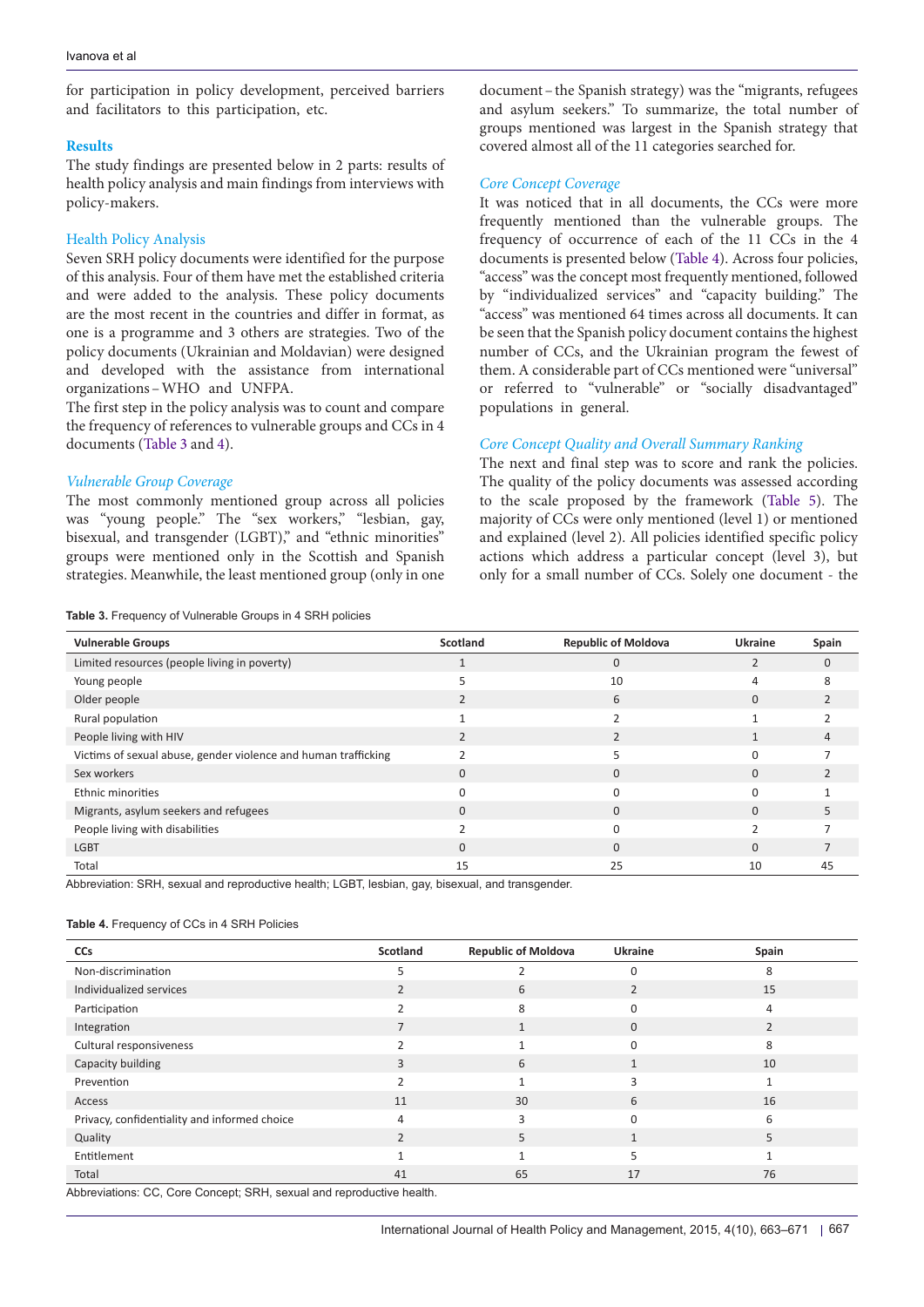for participation in policy development, perceived barriers and facilitators to this participation, etc.

#### **Results**

The study findings are presented below in 2 parts: results of health policy analysis and main findings from interviews with policy-makers.

### Health Policy Analysis

Seven SRH policy documents were identified for the purpose of this analysis. Four of them have met the established criteria and were added to the analysis. These policy documents are the most recent in the countries and differ in format, as one is a programme and 3 others are strategies. Two of the policy documents (Ukrainian and Moldavian) were designed and developed with the assistance from international organizations–WHO and UNFPA.

The first step in the policy analysis was to count and compare the frequency of references to vulnerable groups and CCs in 4 documents ([Table 3](#page-4-0) and [4\)](#page-4-1).

#### *Vulnerable Group Coverage*

The most commonly mentioned group across all policies was "young people." The "sex workers," "lesbian, gay, bisexual, and transgender (LGBT)," and "ethnic minorities" groups were mentioned only in the Scottish and Spanish strategies. Meanwhile, the least mentioned group (only in one

<span id="page-4-0"></span>**Table 3.** Frequency of Vulnerable Groups in 4 SRH policies

document–the Spanish strategy) was the "migrants, refugees and asylum seekers." To summarize, the total number of groups mentioned was largest in the Spanish strategy that covered almost all of the 11 categories searched for.

### *Core Concept Coverage*

It was noticed that in all documents, the CCs were more frequently mentioned than the vulnerable groups. The frequency of occurrence of each of the 11 CCs in the 4 documents is presented below [\(Table 4\)](#page-4-1). Across four policies, "access" was the concept most frequently mentioned, followed by "individualized services" and "capacity building." The "access" was mentioned 64 times across all documents. It can be seen that the Spanish policy document contains the highest number of CCs, and the Ukrainian program the fewest of them. A considerable part of CCs mentioned were "universal" or referred to "vulnerable" or "socially disadvantaged" populations in general.

# *Core Concept Quality and Overall Summary Ranking*

The next and final step was to score and rank the policies. The quality of the policy documents was assessed according to the scale proposed by the framework [\(Table 5\)](#page-5-0). The majority of CCs were only mentioned (level 1) or mentioned and explained (level 2). All policies identified specific policy actions which address a particular concept (level 3), but only for a small number of CCs. Solely one document - the

| <b>Vulnerable Groups</b>                                       | Scotland | <b>Republic of Moldova</b> | Ukraine  | Spain    |
|----------------------------------------------------------------|----------|----------------------------|----------|----------|
| Limited resources (people living in poverty)                   |          | 0                          |          | $\Omega$ |
| Young people                                                   |          | 10                         |          | ጸ        |
| Older people                                                   |          | 6                          | $\Omega$ |          |
| Rural population                                               |          |                            |          |          |
| People living with HIV                                         |          |                            |          |          |
| Victims of sexual abuse, gender violence and human trafficking |          |                            |          |          |
| Sex workers                                                    | 0        |                            |          |          |
| Ethnic minorities                                              |          |                            |          |          |
| Migrants, asylum seekers and refugees                          | 0        |                            | $\Omega$ |          |
| People living with disabilities                                |          |                            |          |          |
| <b>LGBT</b>                                                    | $\Omega$ | <sup>n</sup>               | $\Omega$ |          |
| Total                                                          | 15       | 25                         | 10       | 45       |

Abbreviation: SRH, sexual and reproductive health; LGBT, lesbian, gay, bisexual, and transgender.

#### <span id="page-4-1"></span>**Table 4.** Frequency of CCs in 4 SRH Policies

| <b>CCs</b>                                   | Scotland       | <b>Republic of Moldova</b> | <b>Ukraine</b> | Spain |
|----------------------------------------------|----------------|----------------------------|----------------|-------|
| Non-discrimination                           |                |                            | C              | 8     |
| Individualized services                      |                | 6                          |                | 15    |
| Participation                                |                | 8                          | $\Omega$       | 4     |
| Integration                                  | 7              |                            | $\Omega$       | 2     |
| Cultural responsiveness                      |                |                            | $\Omega$       | 8     |
| Capacity building                            | 3              | 6                          | $\mathbf 1$    | 10    |
| Prevention                                   |                |                            |                |       |
| Access                                       | 11             | 30                         | 6              | 16    |
| Privacy, confidentiality and informed choice | $\overline{4}$ |                            | U              | 6     |
| Quality                                      | $\mathfrak{p}$ | 5                          |                | 5     |
| Entitlement                                  |                |                            |                |       |
| Total                                        | 41             | 65                         | 17             | 76    |

Abbreviations: CC, Core Concept; SRH, sexual and reproductive health.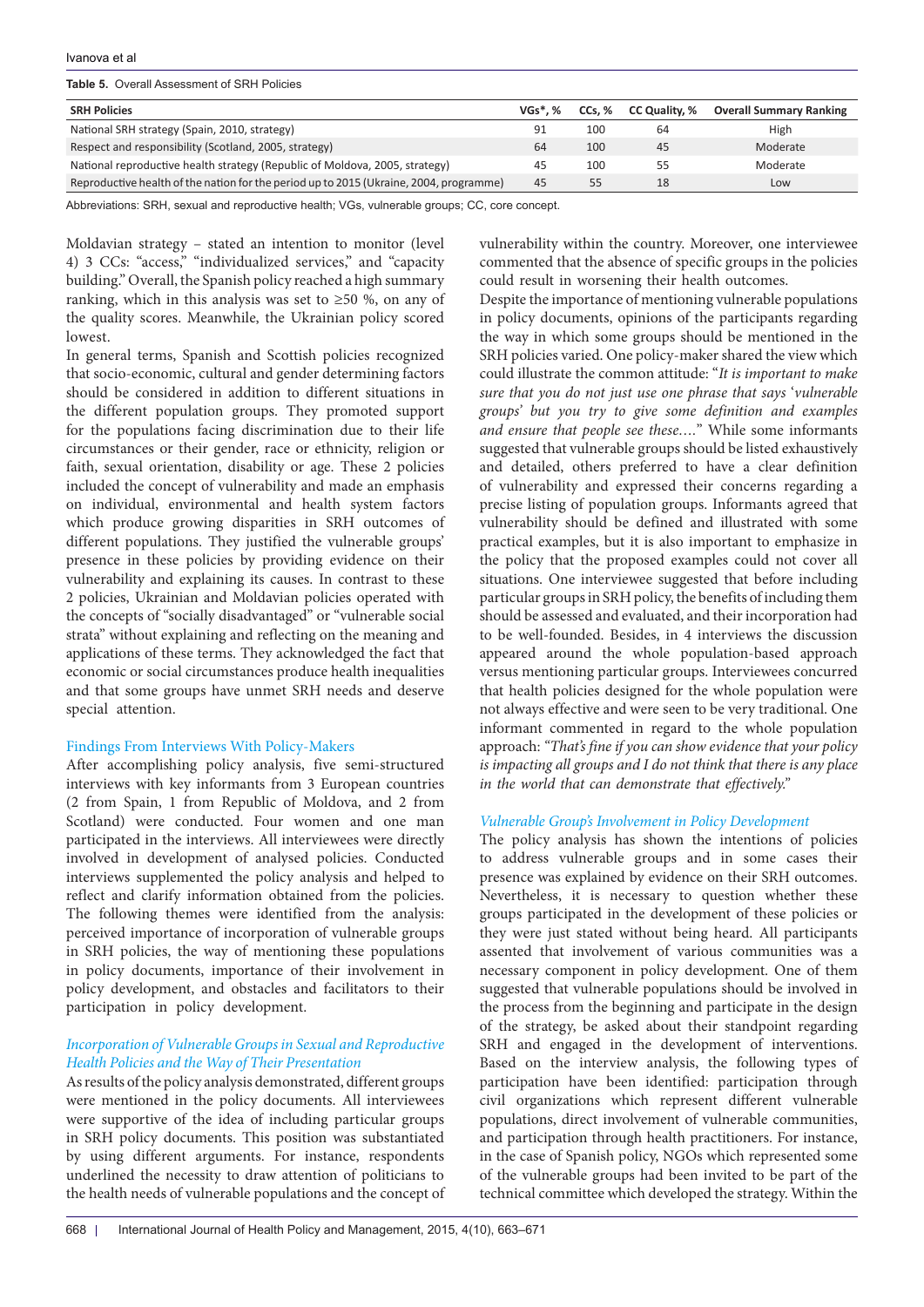#### Ivanova et al

<span id="page-5-0"></span>**Table 5.** Overall Assessment of SRH Policies

| <b>SRH Policies</b>                                                                    | $VGs^*$ . % | CCs. % | CC Quality, % | <b>Overall Summary Ranking</b> |
|----------------------------------------------------------------------------------------|-------------|--------|---------------|--------------------------------|
| National SRH strategy (Spain, 2010, strategy)                                          | 91          | 100    | 64            | High                           |
| Respect and responsibility (Scotland, 2005, strategy)                                  | 64          | 100    | 45            | Moderate                       |
| National reproductive health strategy (Republic of Moldova, 2005, strategy)            | 45          | 100    | 55            | Moderate                       |
| Reproductive health of the nation for the period up to 2015 (Ukraine, 2004, programme) | 45          | 55     | 18            | Low                            |

Abbreviations: SRH, sexual and reproductive health; VGs, vulnerable groups; CC, core concept.

Moldavian strategy – stated an intention to monitor (level 4) 3 CCs: "access," "individualized services," and "capacity building." Overall, the Spanish policy reached a high summary ranking, which in this analysis was set to  $\geq 50$  %, on any of the quality scores. Meanwhile, the Ukrainian policy scored lowest.

In general terms, Spanish and Scottish policies recognized that socio-economic, cultural and gender determining factors should be considered in addition to different situations in the different population groups. They promoted support for the populations facing discrimination due to their life circumstances or their gender, race or ethnicity, religion or faith, sexual orientation, disability or age. These 2 policies included the concept of vulnerability and made an emphasis on individual, environmental and health system factors which produce growing disparities in SRH outcomes of different populations. They justified the vulnerable groups' presence in these policies by providing evidence on their vulnerability and explaining its causes. In contrast to these 2 policies, Ukrainian and Moldavian policies operated with the concepts of "socially disadvantaged" or "vulnerable social strata" without explaining and reflecting on the meaning and applications of these terms. They acknowledged the fact that economic or social circumstances produce health inequalities and that some groups have unmet SRH needs and deserve special attention.

#### Findings From Interviews With Policy-Makers

After accomplishing policy analysis, five semi-structured interviews with key informants from 3 European countries (2 from Spain, 1 from Republic of Moldova, and 2 from Scotland) were conducted. Four women and one man participated in the interviews. All interviewees were directly involved in development of analysed policies. Conducted interviews supplemented the policy analysis and helped to reflect and clarify information obtained from the policies. The following themes were identified from the analysis: perceived importance of incorporation of vulnerable groups in SRH policies, the way of mentioning these populations in policy documents, importance of their involvement in policy development, and obstacles and facilitators to their participation in policy development.

# *Incorporation of Vulnerable Groups in Sexual and Reproductive Health Policies and the Way of Their Presentation*

As results of the policy analysis demonstrated, different groups were mentioned in the policy documents. All interviewees were supportive of the idea of including particular groups in SRH policy documents. This position was substantiated by using different arguments. For instance, respondents underlined the necessity to draw attention of politicians to the health needs of vulnerable populations and the concept of vulnerability within the country. Moreover, one interviewee commented that the absence of specific groups in the policies could result in worsening their health outcomes.

Despite the importance of mentioning vulnerable populations in policy documents, opinions of the participants regarding the way in which some groups should be mentioned in the SRH policies varied. One policy-maker shared the view which could illustrate the common attitude: "*It is important to make sure that you do not just use one phrase that says* '*vulnerable groups' but you try to give some definition and examples and ensure that people see these….*" While some informants suggested that vulnerable groups should be listed exhaustively and detailed, others preferred to have a clear definition of vulnerability and expressed their concerns regarding a precise listing of population groups. Informants agreed that vulnerability should be defined and illustrated with some practical examples, but it is also important to emphasize in the policy that the proposed examples could not cover all situations. One interviewee suggested that before including particular groups in SRH policy, the benefits of including them should be assessed and evaluated, and their incorporation had to be well-founded. Besides, in 4 interviews the discussion appeared around the whole population-based approach versus mentioning particular groups. Interviewees concurred that health policies designed for the whole population were not always effective and were seen to be very traditional. One informant commented in regard to the whole population approach: *"That's fine if you can show evidence that your policy is impacting all groups and I do not think that there is any place in the world that can demonstrate that effectively."*

### *Vulnerable Group's Involvement in Policy Development*

The policy analysis has shown the intentions of policies to address vulnerable groups and in some cases their presence was explained by evidence on their SRH outcomes. Nevertheless, it is necessary to question whether these groups participated in the development of these policies or they were just stated without being heard. All participants assented that involvement of various communities was a necessary component in policy development. One of them suggested that vulnerable populations should be involved in the process from the beginning and participate in the design of the strategy, be asked about their standpoint regarding SRH and engaged in the development of interventions. Based on the interview analysis, the following types of participation have been identified: participation through civil organizations which represent different vulnerable populations, direct involvement of vulnerable communities, and participation through health practitioners. For instance, in the case of Spanish policy, NGOs which represented some of the vulnerable groups had been invited to be part of the technical committee which developed the strategy. Within the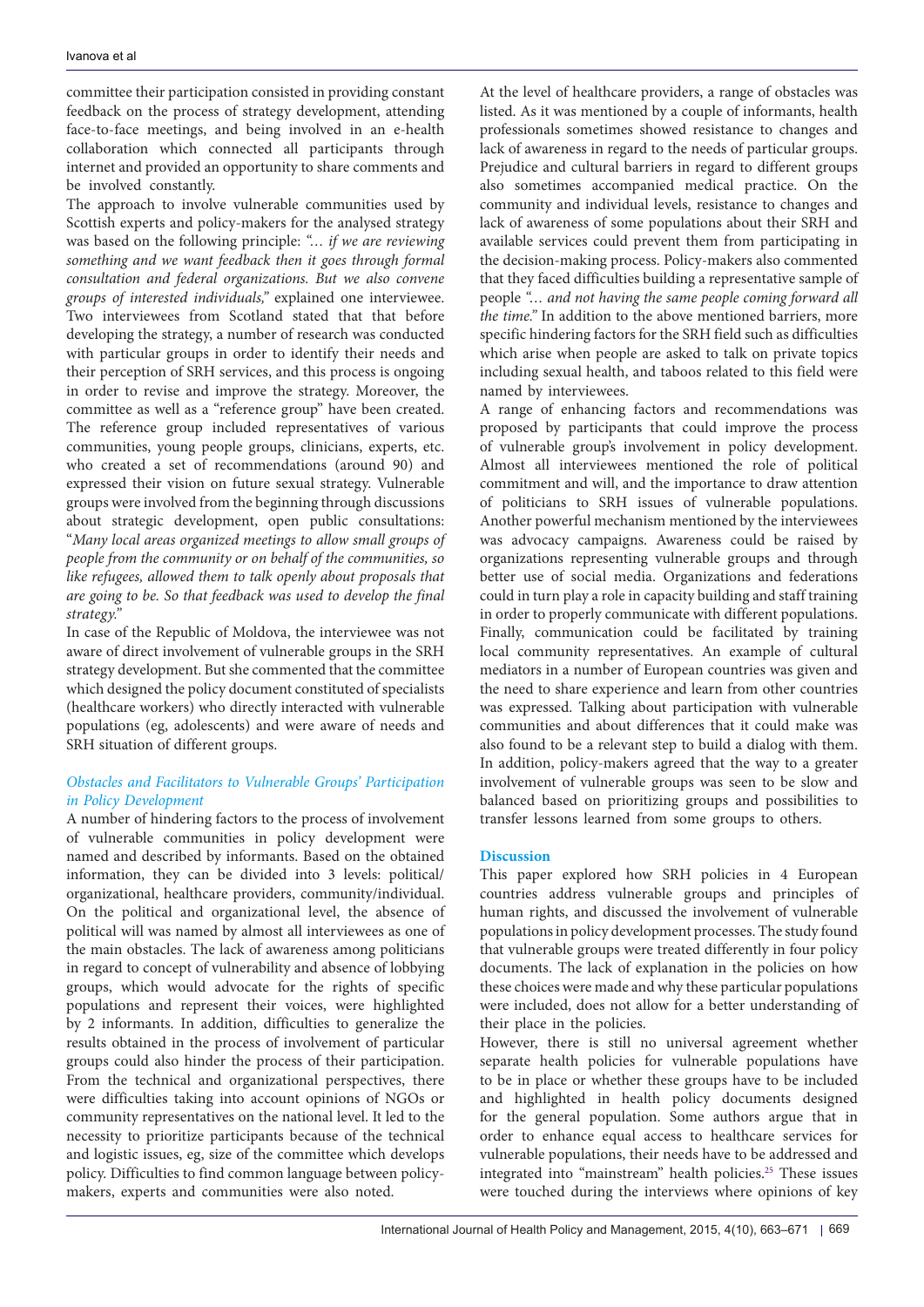committee their participation consisted in providing constant feedback on the process of strategy development, attending face-to-face meetings, and being involved in an e-health collaboration which connected all participants through internet and provided an opportunity to share comments and be involved constantly.

The approach to involve vulnerable communities used by Scottish experts and policy-makers for the analysed strategy was based on the following principle: *"… if we are reviewing something and we want feedback then it goes through formal consultation and federal organizations. But we also convene groups of interested individuals,"* explained one interviewee. Two interviewees from Scotland stated that that before developing the strategy, a number of research was conducted with particular groups in order to identify their needs and their perception of SRH services, and this process is ongoing in order to revise and improve the strategy. Moreover, the committee as well as a "reference group" have been created. The reference group included representatives of various communities, young people groups, clinicians, experts, etc. who created a set of recommendations (around 90) and expressed their vision on future sexual strategy. Vulnerable groups were involved from the beginning through discussions about strategic development, open public consultations: "*Many local areas organized meetings to allow small groups of people from the community or on behalf of the communities, so like refugees, allowed them to talk openly about proposals that are going to be. So that feedback was used to develop the final strategy."*

In case of the Republic of Moldova, the interviewee was not aware of direct involvement of vulnerable groups in the SRH strategy development. But she commented that the committee which designed the policy document constituted of specialists (healthcare workers) who directly interacted with vulnerable populations (eg, adolescents) and were aware of needs and SRH situation of different groups.

# *Obstacles and Facilitators to Vulnerable Groups' Participation in Policy Development*

A number of hindering factors to the process of involvement of vulnerable communities in policy development were named and described by informants. Based on the obtained information, they can be divided into 3 levels: political/ organizational, healthcare providers, community/individual. On the political and organizational level, the absence of political will was named by almost all interviewees as one of the main obstacles. The lack of awareness among politicians in regard to concept of vulnerability and absence of lobbying groups, which would advocate for the rights of specific populations and represent their voices, were highlighted by 2 informants. In addition, difficulties to generalize the results obtained in the process of involvement of particular groups could also hinder the process of their participation. From the technical and organizational perspectives, there were difficulties taking into account opinions of NGOs or community representatives on the national level. It led to the necessity to prioritize participants because of the technical and logistic issues, eg, size of the committee which develops policy. Difficulties to find common language between policymakers, experts and communities were also noted.

At the level of healthcare providers, a range of obstacles was listed. As it was mentioned by a couple of informants, health professionals sometimes showed resistance to changes and lack of awareness in regard to the needs of particular groups. Prejudice and cultural barriers in regard to different groups also sometimes accompanied medical practice. On the community and individual levels, resistance to changes and lack of awareness of some populations about their SRH and available services could prevent them from participating in the decision-making process. Policy-makers also commented that they faced difficulties building a representative sample of people *"… and not having the same people coming forward all the time."* In addition to the above mentioned barriers, more specific hindering factors for the SRH field such as difficulties which arise when people are asked to talk on private topics including sexual health, and taboos related to this field were named by interviewees.

A range of enhancing factors and recommendations was proposed by participants that could improve the process of vulnerable group's involvement in policy development. Almost all interviewees mentioned the role of political commitment and will, and the importance to draw attention of politicians to SRH issues of vulnerable populations. Another powerful mechanism mentioned by the interviewees was advocacy campaigns. Awareness could be raised by organizations representing vulnerable groups and through better use of social media. Organizations and federations could in turn play a role in capacity building and staff training in order to properly communicate with different populations. Finally, communication could be facilitated by training local community representatives. An example of cultural mediators in a number of European countries was given and the need to share experience and learn from other countries was expressed. Talking about participation with vulnerable communities and about differences that it could make was also found to be a relevant step to build a dialog with them. In addition, policy-makers agreed that the way to a greater involvement of vulnerable groups was seen to be slow and balanced based on prioritizing groups and possibilities to transfer lessons learned from some groups to others.

# **Discussion**

This paper explored how SRH policies in 4 European countries address vulnerable groups and principles of human rights, and discussed the involvement of vulnerable populations in policy development processes. The study found that vulnerable groups were treated differently in four policy documents. The lack of explanation in the policies on how these choices were made and why these particular populations were included, does not allow for a better understanding of their place in the policies.

However, there is still no universal agreement whether separate health policies for vulnerable populations have to be in place or whether these groups have to be included and highlighted in health policy documents designed for the general population. Some authors argue that in order to enhance equal access to healthcare services for vulnerable populations, their needs have to be addressed and integrated into "mainstream" health policies.[25](#page-8-24) These issues were touched during the interviews where opinions of key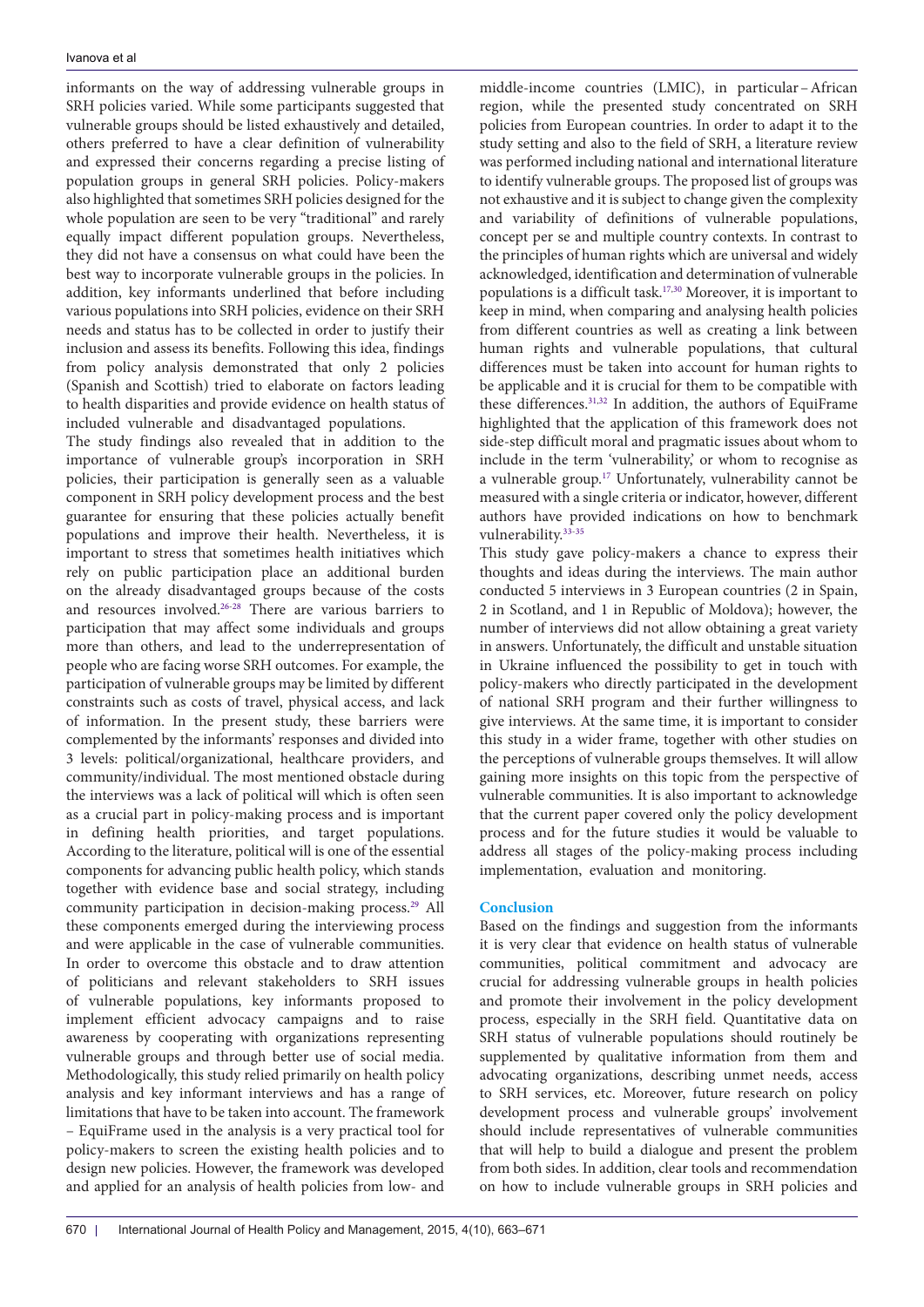informants on the way of addressing vulnerable groups in SRH policies varied. While some participants suggested that vulnerable groups should be listed exhaustively and detailed, others preferred to have a clear definition of vulnerability and expressed their concerns regarding a precise listing of population groups in general SRH policies. Policy-makers also highlighted that sometimes SRH policies designed for the whole population are seen to be very "traditional" and rarely equally impact different population groups. Nevertheless, they did not have a consensus on what could have been the best way to incorporate vulnerable groups in the policies. In addition, key informants underlined that before including various populations into SRH policies, evidence on their SRH needs and status has to be collected in order to justify their inclusion and assess its benefits. Following this idea, findings from policy analysis demonstrated that only 2 policies (Spanish and Scottish) tried to elaborate on factors leading to health disparities and provide evidence on health status of included vulnerable and disadvantaged populations.

The study findings also revealed that in addition to the importance of vulnerable group's incorporation in SRH policies, their participation is generally seen as a valuable component in SRH policy development process and the best guarantee for ensuring that these policies actually benefit populations and improve their health. Nevertheless, it is important to stress that sometimes health initiatives which rely on public participation place an additional burden on the already disadvantaged groups because of the costs and resources involved[.26-](#page-8-25)[28](#page-8-26) There are various barriers to participation that may affect some individuals and groups more than others, and lead to the underrepresentation of people who are facing worse SRH outcomes. For example, the participation of vulnerable groups may be limited by different constraints such as costs of travel, physical access, and lack of information. In the present study, these barriers were complemented by the informants' responses and divided into 3 levels: political/organizational, healthcare providers, and community/individual. The most mentioned obstacle during the interviews was a lack of political will which is often seen as a crucial part in policy-making process and is important in defining health priorities, and target populations. According to the literature, political will is one of the essential components for advancing public health policy, which stands together with evidence base and social strategy, including community participation in decision-making process.<sup>29</sup> All these components emerged during the interviewing process and were applicable in the case of vulnerable communities. In order to overcome this obstacle and to draw attention of politicians and relevant stakeholders to SRH issues of vulnerable populations, key informants proposed to implement efficient advocacy campaigns and to raise awareness by cooperating with organizations representing vulnerable groups and through better use of social media. Methodologically, this study relied primarily on health policy analysis and key informant interviews and has a range of limitations that have to be taken into account. The framework – EquiFrame used in the analysis is a very practical tool for policy-makers to screen the existing health policies and to design new policies. However, the framework was developed and applied for an analysis of health policies from low- and

middle-income countries (LMIC), in particular–African region, while the presented study concentrated on SRH policies from European countries. In order to adapt it to the study setting and also to the field of SRH, a literature review was performed including national and international literature to identify vulnerable groups. The proposed list of groups was not exhaustive and it is subject to change given the complexity and variability of definitions of vulnerable populations, concept per se and multiple country contexts. In contrast to the principles of human rights which are universal and widely acknowledged, identification and determination of vulnerable populations is a difficult task.[17,](#page-8-16)[30](#page-8-28) Moreover, it is important to keep in mind, when comparing and analysing health policies from different countries as well as creating a link between human rights and vulnerable populations, that cultural differences must be taken into account for human rights to be applicable and it is crucial for them to be compatible with these differences[.31,](#page-8-29)[32](#page-8-30) In addition, the authors of EquiFrame highlighted that the application of this framework does not side-step difficult moral and pragmatic issues about whom to include in the term 'vulnerability,' or whom to recognise as a vulnerable group.[17](#page-8-16) Unfortunately, vulnerability cannot be measured with a single criteria or indicator, however, different authors have provided indications on how to benchmark vulnerability.[33-](#page-8-31)[35](#page-8-32)

This study gave policy-makers a chance to express their thoughts and ideas during the interviews. The main author conducted 5 interviews in 3 European countries (2 in Spain, 2 in Scotland, and 1 in Republic of Moldova); however, the number of interviews did not allow obtaining a great variety in answers. Unfortunately, the difficult and unstable situation in Ukraine influenced the possibility to get in touch with policy-makers who directly participated in the development of national SRH program and their further willingness to give interviews. At the same time, it is important to consider this study in a wider frame, together with other studies on the perceptions of vulnerable groups themselves. It will allow gaining more insights on this topic from the perspective of vulnerable communities. It is also important to acknowledge that the current paper covered only the policy development process and for the future studies it would be valuable to address all stages of the policy-making process including implementation, evaluation and monitoring.

#### **Conclusion**

Based on the findings and suggestion from the informants it is very clear that evidence on health status of vulnerable communities, political commitment and advocacy are crucial for addressing vulnerable groups in health policies and promote their involvement in the policy development process, especially in the SRH field. Quantitative data on SRH status of vulnerable populations should routinely be supplemented by qualitative information from them and advocating organizations, describing unmet needs, access to SRH services, etc. Moreover, future research on policy development process and vulnerable groups' involvement should include representatives of vulnerable communities that will help to build a dialogue and present the problem from both sides. In addition, clear tools and recommendation on how to include vulnerable groups in SRH policies and